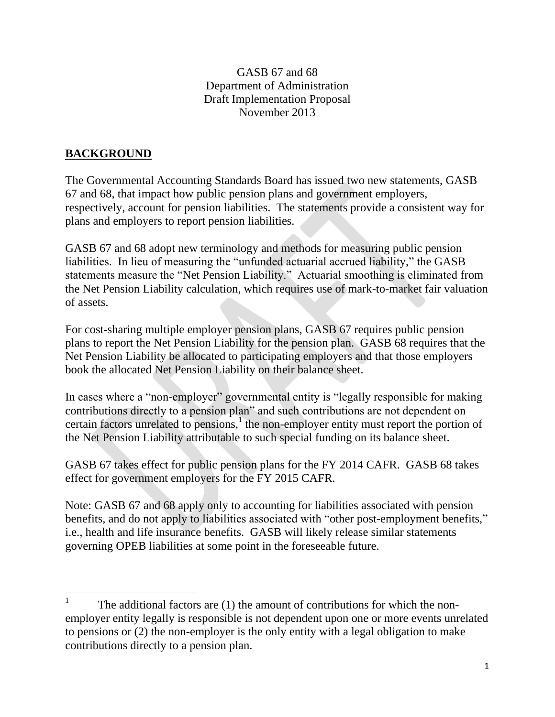### GASB 67 and 68 Department of Administration Draft Implementation Proposal November 2013

# **BACKGROUND**

The Governmental Accounting Standards Board has issued two new statements, GASB 67 and 68, that impact how public pension plans and government employers, respectively, account for pension liabilities. The statements provide a consistent way for plans and employers to report pension liabilities.

GASB 67 and 68 adopt new terminology and methods for measuring public pension liabilities. In lieu of measuring the "unfunded actuarial accrued liability," the GASB statements measure the "Net Pension Liability." Actuarial smoothing is eliminated from the Net Pension Liability calculation, which requires use of mark-to-market fair valuation of assets.

For cost-sharing multiple employer pension plans, GASB 67 requires public pension plans to report the Net Pension Liability for the pension plan. GASB 68 requires that the Net Pension Liability be allocated to participating employers and that those employers book the allocated Net Pension Liability on their balance sheet.

In cases where a "non-employer" governmental entity is "legally responsible for making contributions directly to a pension plan" and such contributions are not dependent on certain factors unrelated to pensions, $\frac{1}{1}$  the non-employer entity must report the portion of the Net Pension Liability attributable to such special funding on its balance sheet.

GASB 67 takes effect for public pension plans for the FY 2014 CAFR. GASB 68 takes effect for government employers for the FY 2015 CAFR.

Note: GASB 67 and 68 apply only to accounting for liabilities associated with pension benefits, and do not apply to liabilities associated with "other post-employment benefits," i.e., health and life insurance benefits. GASB will likely release similar statements governing OPEB liabilities at some point in the foreseeable future.

 1 The additional factors are (1) the amount of contributions for which the nonemployer entity legally is responsible is not dependent upon one or more events unrelated to pensions or (2) the non-employer is the only entity with a legal obligation to make contributions directly to a pension plan.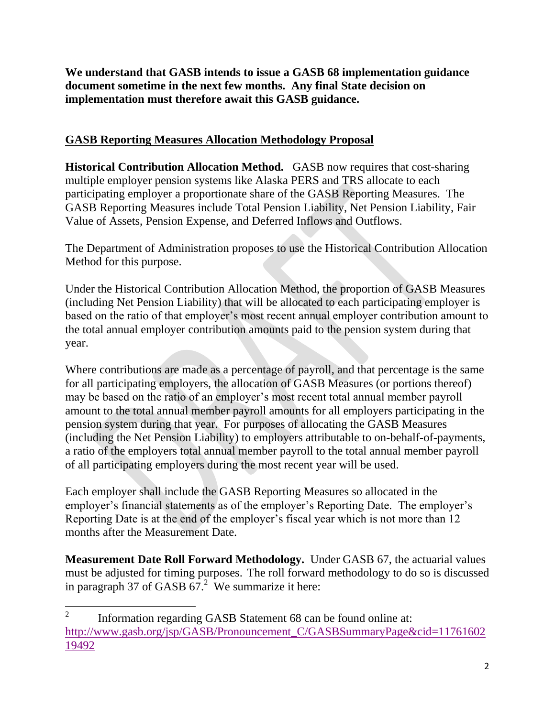**We understand that GASB intends to issue a GASB 68 implementation guidance document sometime in the next few months. Any final State decision on implementation must therefore await this GASB guidance.**

## **GASB Reporting Measures Allocation Methodology Proposal**

**Historical Contribution Allocation Method.** GASB now requires that cost-sharing multiple employer pension systems like Alaska PERS and TRS allocate to each participating employer a proportionate share of the GASB Reporting Measures. The GASB Reporting Measures include Total Pension Liability, Net Pension Liability, Fair Value of Assets, Pension Expense, and Deferred Inflows and Outflows.

The Department of Administration proposes to use the Historical Contribution Allocation Method for this purpose.

Under the Historical Contribution Allocation Method, the proportion of GASB Measures (including Net Pension Liability) that will be allocated to each participating employer is based on the ratio of that employer's most recent annual employer contribution amount to the total annual employer contribution amounts paid to the pension system during that year.

Where contributions are made as a percentage of payroll, and that percentage is the same for all participating employers, the allocation of GASB Measures (or portions thereof) may be based on the ratio of an employer's most recent total annual member payroll amount to the total annual member payroll amounts for all employers participating in the pension system during that year. For purposes of allocating the GASB Measures (including the Net Pension Liability) to employers attributable to on-behalf-of-payments, a ratio of the employers total annual member payroll to the total annual member payroll of all participating employers during the most recent year will be used.

Each employer shall include the GASB Reporting Measures so allocated in the employer's financial statements as of the employer's Reporting Date. The employer's Reporting Date is at the end of the employer's fiscal year which is not more than 12 months after the Measurement Date.

**Measurement Date Roll Forward Methodology.** Under GASB 67, the actuarial values must be adjusted for timing purposes. The roll forward methodology to do so is discussed in paragraph 37 of GASB  $67<sup>2</sup>$  We summarize it here:

 $\frac{1}{2}$  Information regarding GASB Statement 68 can be found online at: [http://www.gasb.org/jsp/GASB/Pronouncement\\_C/GASBSummaryPage&cid=11761602](http://www.gasb.org/jsp/GASB/Pronouncement_C/GASBSummaryPage&cid=1176160219492) [19492](http://www.gasb.org/jsp/GASB/Pronouncement_C/GASBSummaryPage&cid=1176160219492)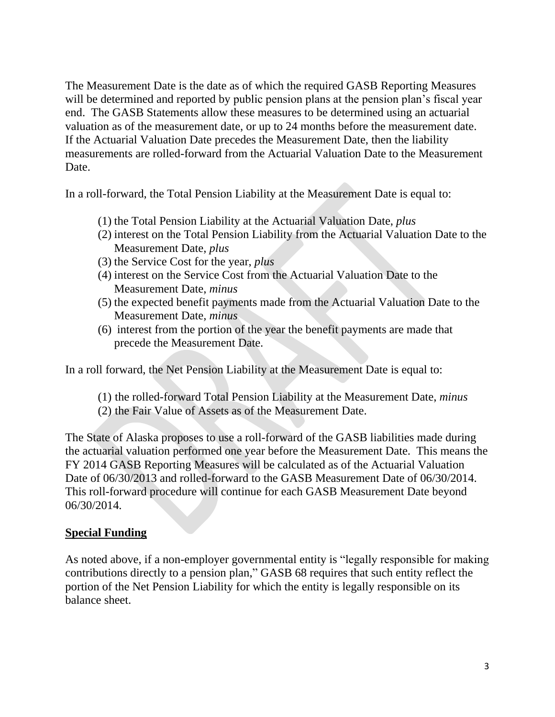The Measurement Date is the date as of which the required GASB Reporting Measures will be determined and reported by public pension plans at the pension plan's fiscal year end. The GASB Statements allow these measures to be determined using an actuarial valuation as of the measurement date, or up to 24 months before the measurement date. If the Actuarial Valuation Date precedes the Measurement Date, then the liability measurements are rolled-forward from the Actuarial Valuation Date to the Measurement Date.

In a roll-forward, the Total Pension Liability at the Measurement Date is equal to:

- (1) the Total Pension Liability at the Actuarial Valuation Date, *plus*
- (2) interest on the Total Pension Liability from the Actuarial Valuation Date to the Measurement Date, *plus*
- (3) the Service Cost for the year, *plus*
- (4) interest on the Service Cost from the Actuarial Valuation Date to the Measurement Date, *minus*
- (5) the expected benefit payments made from the Actuarial Valuation Date to the Measurement Date, *minus*
- (6) interest from the portion of the year the benefit payments are made that precede the Measurement Date.

In a roll forward, the Net Pension Liability at the Measurement Date is equal to:

- (1) the rolled-forward Total Pension Liability at the Measurement Date, *minus*
- (2) the Fair Value of Assets as of the Measurement Date.

The State of Alaska proposes to use a roll-forward of the GASB liabilities made during the actuarial valuation performed one year before the Measurement Date. This means the FY 2014 GASB Reporting Measures will be calculated as of the Actuarial Valuation Date of 06/30/2013 and rolled-forward to the GASB Measurement Date of 06/30/2014. This roll-forward procedure will continue for each GASB Measurement Date beyond 06/30/2014.

### **Special Funding**

As noted above, if a non-employer governmental entity is "legally responsible for making contributions directly to a pension plan," GASB 68 requires that such entity reflect the portion of the Net Pension Liability for which the entity is legally responsible on its balance sheet.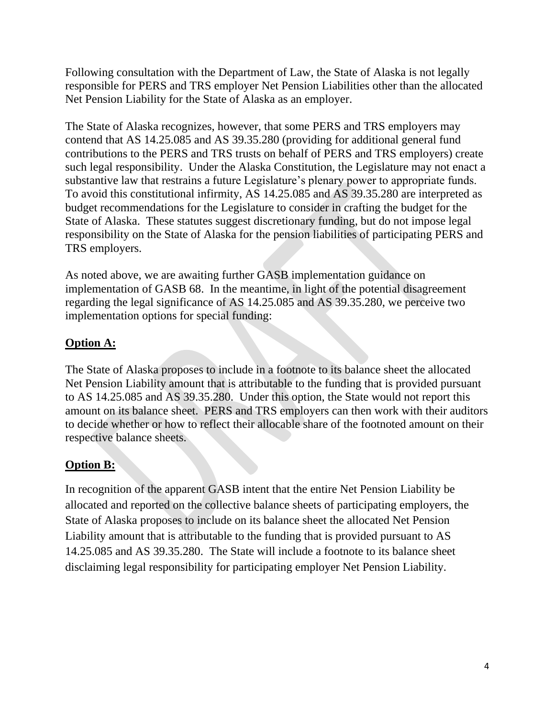Following consultation with the Department of Law, the State of Alaska is not legally responsible for PERS and TRS employer Net Pension Liabilities other than the allocated Net Pension Liability for the State of Alaska as an employer.

The State of Alaska recognizes, however, that some PERS and TRS employers may contend that AS 14.25.085 and AS 39.35.280 (providing for additional general fund contributions to the PERS and TRS trusts on behalf of PERS and TRS employers) create such legal responsibility. Under the Alaska Constitution, the Legislature may not enact a substantive law that restrains a future Legislature's plenary power to appropriate funds. To avoid this constitutional infirmity, AS 14.25.085 and AS 39.35.280 are interpreted as budget recommendations for the Legislature to consider in crafting the budget for the State of Alaska. These statutes suggest discretionary funding, but do not impose legal responsibility on the State of Alaska for the pension liabilities of participating PERS and TRS employers.

As noted above, we are awaiting further GASB implementation guidance on implementation of GASB 68. In the meantime, in light of the potential disagreement regarding the legal significance of AS 14.25.085 and AS 39.35.280, we perceive two implementation options for special funding:

# **Option A:**

The State of Alaska proposes to include in a footnote to its balance sheet the allocated Net Pension Liability amount that is attributable to the funding that is provided pursuant to AS 14.25.085 and AS 39.35.280. Under this option, the State would not report this amount on its balance sheet. PERS and TRS employers can then work with their auditors to decide whether or how to reflect their allocable share of the footnoted amount on their respective balance sheets.

## **Option B:**

In recognition of the apparent GASB intent that the entire Net Pension Liability be allocated and reported on the collective balance sheets of participating employers, the State of Alaska proposes to include on its balance sheet the allocated Net Pension Liability amount that is attributable to the funding that is provided pursuant to AS 14.25.085 and AS 39.35.280. The State will include a footnote to its balance sheet disclaiming legal responsibility for participating employer Net Pension Liability.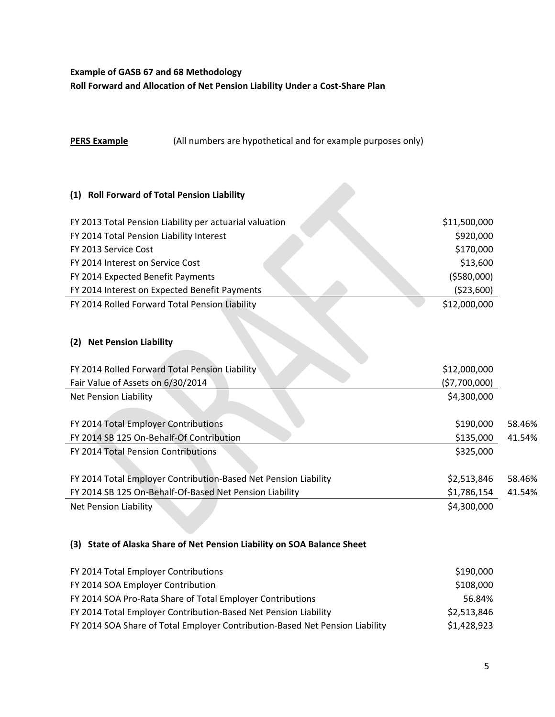#### **Example of GASB 67 and 68 Methodology**

**Roll Forward and Allocation of Net Pension Liability Under a Cost-Share Plan**

#### **PERS Example** (All numbers are hypothetical and for example purposes only)

#### **(1) Roll Forward of Total Pension Liability**

| FY 2013 Total Pension Liability per actuarial valuation | \$11,500,000 |
|---------------------------------------------------------|--------------|
| FY 2014 Total Pension Liability Interest                | \$920,000    |
| FY 2013 Service Cost                                    | \$170,000    |
| FY 2014 Interest on Service Cost                        | \$13,600     |
| FY 2014 Expected Benefit Payments                       | ( \$580,000) |
| FY 2014 Interest on Expected Benefit Payments           | ( \$23,600)  |
| FY 2014 Rolled Forward Total Pension Liability          | \$12,000,000 |

#### **(2) Net Pension Liability**

| FY 2014 Rolled Forward Total Pension Liability                  | \$12,000,000 |        |
|-----------------------------------------------------------------|--------------|--------|
| Fair Value of Assets on 6/30/2014                               | (57,700,000) |        |
| <b>Net Pension Liability</b>                                    | \$4,300,000  |        |
|                                                                 |              |        |
| FY 2014 Total Employer Contributions                            | \$190,000    | 58.46% |
| FY 2014 SB 125 On-Behalf-Of Contribution                        | \$135,000    | 41.54% |
| FY 2014 Total Pension Contributions                             | \$325,000    |        |
|                                                                 |              |        |
| FY 2014 Total Employer Contribution-Based Net Pension Liability | \$2,513,846  | 58.46% |
| FY 2014 SB 125 On-Behalf-Of-Based Net Pension Liability         | \$1,786,154  | 41.54% |
| Net Pension Liability                                           | \$4,300,000  |        |

#### **(3) State of Alaska Share of Net Pension Liability on SOA Balance Sheet**

| FY 2014 Total Employer Contributions                                         | \$190,000   |
|------------------------------------------------------------------------------|-------------|
| FY 2014 SOA Employer Contribution                                            | \$108,000   |
| FY 2014 SOA Pro-Rata Share of Total Employer Contributions                   | 56.84%      |
| FY 2014 Total Employer Contribution-Based Net Pension Liability              | \$2,513,846 |
| FY 2014 SOA Share of Total Employer Contribution-Based Net Pension Liability | \$1,428,923 |